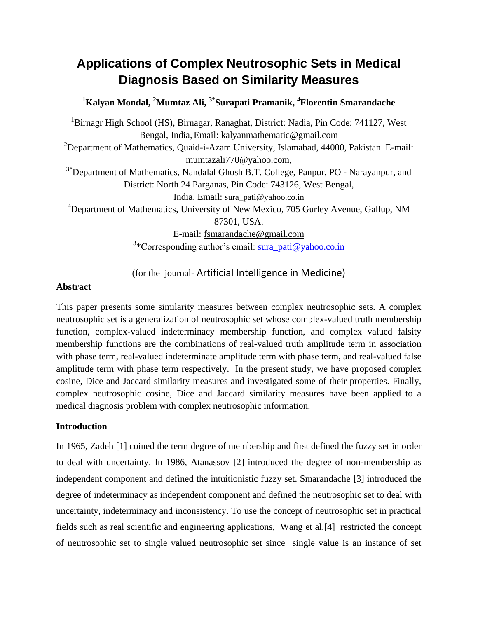# **Applications of Complex Neutrosophic Sets in Medical Diagnosis Based on Similarity Measures**

### **<sup>1</sup>Kalyan Mondal, <sup>2</sup>Mumtaz Ali, 3\*Surapati Pramanik, <sup>4</sup> Florentin Smarandache**

<sup>1</sup>Birnagr High School (HS), Birnagar, Ranaghat, District: Nadia, Pin Code: 741127, West Bengal, India,Email: kalyanmathematic@gmail.com <sup>2</sup>Department of Mathematics, Quaid-i-Azam University, Islamabad, 44000, Pakistan. E-mail: mumtazali770@yahoo.com, <sup>3\*</sup>Department of Mathematics, Nandalal Ghosh B.T. College, Panpur, PO - Narayanpur, and District: North 24 Parganas, Pin Code: 743126, West Bengal, India. Email: [sura\\_pati@yahoo.co.in](mailto:sura_pati@yahoo.co.in) <sup>4</sup>Department of Mathematics, University of New Mexico, 705 Gurley Avenue, Gallup, NM 87301, USA. E-mail: [fsmarandache@gmail.com](mailto:fsmarandache@gmail.com) <sup>3</sup>\*Corresponding author's email: [sura\\_pati@yahoo.co.in](mailto:sura_pati@yahoo.co.in)

(for the journal- Artificial Intelligence in Medicine)

#### **Abstract**

This paper presents some similarity measures between complex neutrosophic sets. A complex neutrosophic set is a generalization of neutrosophic set whose complex-valued truth membership function, complex-valued indeterminacy membership function, and complex valued falsity membership functions are the combinations of real-valued truth amplitude term in association with phase term, real-valued indeterminate amplitude term with phase term, and real-valued false amplitude term with phase term respectively. In the present study, we have proposed complex cosine, Dice and Jaccard similarity measures and investigated some of their properties. Finally, complex neutrosophic cosine, Dice and Jaccard similarity measures have been applied to a medical diagnosis problem with complex neutrosophic information.

#### **Introduction**

In 1965, Zadeh [1] coined the term degree of membership and first defined the fuzzy set in order to deal with uncertainty. In 1986, Atanassov [2] introduced the degree of non-membership as independent component and defined the intuitionistic fuzzy set. Smarandache [3] introduced the degree of indeterminacy as independent component and defined the neutrosophic set to deal with uncertainty, indeterminacy and inconsistency. To use the concept of neutrosophic set in practical fields such as real scientific and engineering applications, Wang et al.[4] restricted the concept of neutrosophic set to single valued neutrosophic set since single value is an instance of set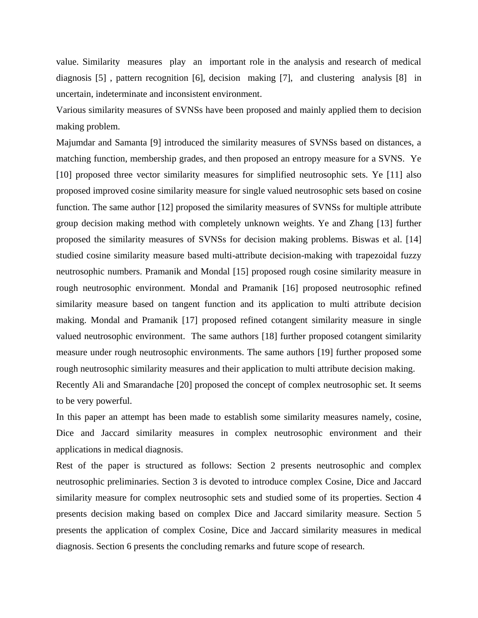value. Similarity measures play an important role in the analysis and research of medical diagnosis [5] , pattern recognition [6], decision making [7], and clustering analysis [8] in uncertain, indeterminate and inconsistent environment.

Various similarity measures of SVNSs have been proposed and mainly applied them to decision making problem.

Majumdar and Samanta [9] introduced the similarity measures of SVNSs based on distances, a matching function, membership grades, and then proposed an entropy measure for a SVNS. Ye [10] proposed three vector similarity measures for simplified neutrosophic sets. Ye [11] also proposed improved cosine similarity measure for single valued neutrosophic sets based on cosine function. The same author [12] proposed the similarity measures of SVNSs for multiple attribute group decision making method with completely unknown weights. Ye and Zhang [13] further proposed the similarity measures of SVNSs for decision making problems. Biswas et al. [14] studied cosine similarity measure based multi-attribute decision-making with trapezoidal fuzzy neutrosophic numbers. Pramanik and Mondal [15] proposed rough cosine similarity measure in rough neutrosophic environment. Mondal and Pramanik [16] proposed neutrosophic refined similarity measure based on tangent function and its application to multi attribute decision making. Mondal and Pramanik [17] proposed refined cotangent similarity measure in single valued neutrosophic environment. The same authors [18] further proposed cotangent similarity measure under rough neutrosophic environments. The same authors [19] further proposed some rough neutrosophic similarity measures and their application to multi attribute decision making. Recently Ali and Smarandache [20] proposed the concept of complex neutrosophic set. It seems to be very powerful.

In this paper an attempt has been made to establish some similarity measures namely, cosine, Dice and Jaccard similarity measures in complex neutrosophic environment and their applications in medical diagnosis.

Rest of the paper is structured as follows: Section 2 presents neutrosophic and complex neutrosophic preliminaries. Section 3 is devoted to introduce complex Cosine, Dice and Jaccard similarity measure for complex neutrosophic sets and studied some of its properties. Section 4 presents decision making based on complex Dice and Jaccard similarity measure. Section 5 presents the application of complex Cosine, Dice and Jaccard similarity measures in medical diagnosis. Section 6 presents the concluding remarks and future scope of research.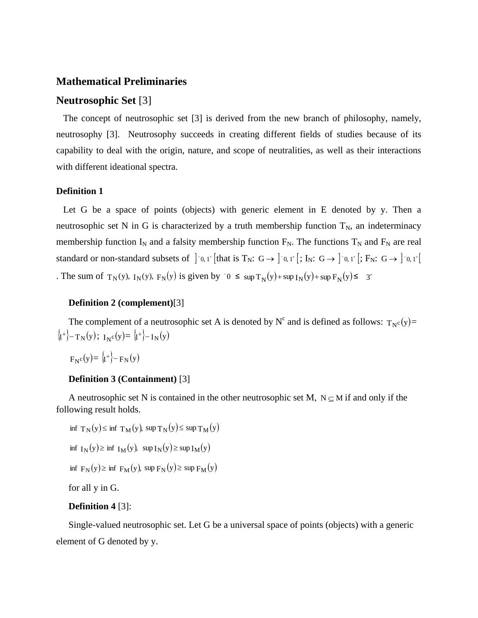#### **Mathematical Preliminaries**

#### **Neutrosophic Set** [3]

 The concept of neutrosophic set [3] is derived from the new branch of philosophy, namely, neutrosophy [3]. Neutrosophy succeeds in creating different fields of studies because of its capability to deal with the origin, nature, and scope of neutralities, as well as their interactions with different ideational spectra.

#### **Definition 1**

Let G be a space of points (objects) with generic element in E denoted by y. Then a neutrosophic set N in G is characterized by a truth membership function  $T_N$ , an indeterminacy membership function  $I_N$  and a falsity membership function  $F_N$ . The functions  $T_N$  and  $F_N$  are real standard or non-standard subsets of  $]$ <sup>-0</sup>, 1<sup>+</sup> [that is T<sub>N</sub>: G  $\rightarrow$  ]<sup>-0</sup>, 1<sup>+</sup> [; I<sub>N</sub>: G  $\rightarrow$  ]<sup>-0</sup>, 1<sup>+</sup> [; F<sub>N</sub>: G  $\rightarrow$  ]<sup>-0</sup>, 1<sup>+</sup> [ The sum of  $T_N(y)$ ,  $I_N(y)$ ,  $F_N(y)$  is given by  $0 \leq \sup T_N(y) + \sup I_N(y) + \sup F_N(y) \leq 3^+$ 

#### **Definition 2 (complement)**[3]

The complement of a neutrosophic set A is denoted by  $N^c$  and is defined as follows:  $T_{N^c}(y)$ =  $\langle 1^+ \rangle - T_N(y); \ I_Nc(y) = \langle 1^+ \rangle - I_N(y)$ 

 $F_N c(y) = \{1^+\} - F_N(y)$ 

#### **Definition 3 (Containment)** [3]

A neutrosophic set N is contained in the other neutrosophic set M,  $N \subseteq M$  if and only if the following result holds.

- inf  $T_N(y) \le \inf T_M(y)$ , sup  $T_N(y) \le \sup T_M(y)$ inf  $I_N(y) \ge \inf I_M(y)$ , sup  $I_N(y) \ge \sup I_M(y)$
- inf  $F_N(y) \ge \inf F_M(y)$ , sup  $F_N(y) \ge \sup F_M(y)$

for all y in G.

#### **Definition 4** [3]:

Single-valued neutrosophic set. Let G be a universal space of points (objects) with a generic element of G denoted by y.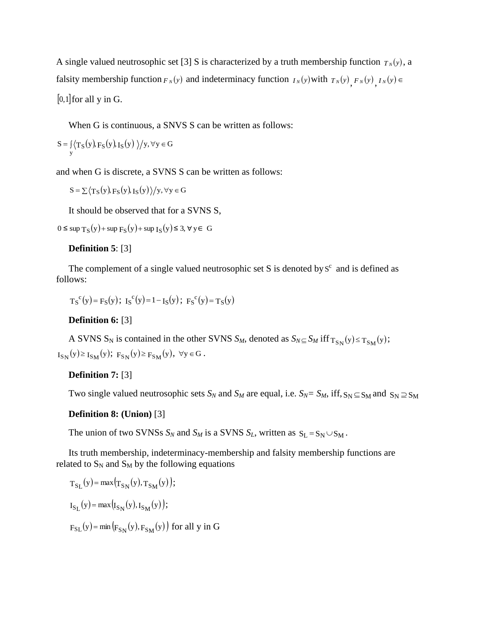A single valued neutrosophic set [3] S is characterized by a truth membership function  $T_N(y)$ , a falsity membership function  $F_N(y)$  and indeterminacy function  $I_N(y)$  with  $T_N(y)$ ,  $F_N(y)$ ,  $I_N(y) \in$  $[0,1]$  for all y in G.

When G is continuous, a SNVS S can be written as follows:

$$
S = \int_{y} \langle T_{S}(y), F_{S}(y), I_{S}(y) \rangle / y, \forall y \in G
$$

and when G is discrete, a SVNS S can be written as follows:

 $\text{S} = \sum \langle \text{T}_\text{S}(\text{y}),\text{F}_\text{S}(\text{y}),\text{I}_\text{S}(\text{y}) \rangle \big/ \text{y}, \forall \text{y} \in \text{G}$ 

It should be observed that for a SVNS S,

 $0 \leq$  sup T<sub>S</sub>(y) + sup F<sub>S</sub>(y) + sup I<sub>S</sub>(y) ≤ 3, ∀ y ∈ G

### **Definition 5**: [3]

The complement of a single valued neutrosophic set S is denoted by  $S<sup>c</sup>$  and is defined as follows:

$$
T_S^c(y) = F_S(y); \ I_S^c(y) = 1 - I_S(y); \ F_S^c(y) = T_S(y)
$$

### **Definition 6:** [3]

A SVNS S<sub>N</sub> is contained in the other SVNS S<sub>*M*</sub>, denoted as  $S_{N} \subseteq S_M$  iff  $T_{S_N}(y) \le T_{S_M}(y)$ ;  $I_{S_N}(y) \ge I_{S_M}(y); F_{S_N}(y) \ge F_{S_M}(y), \forall y \in G.$ 

### **Definition 7:** [3]

Two single valued neutrosophic sets  $S_N$  and  $S_M$  are equal, i.e.  $S_N = S_M$ , iff,  $S_N \subseteq S_M$  and  $S_N \supseteq S_M$ 

#### **Definition 8: (Union)** [3]

The union of two SVNSs  $S_N$  and  $S_M$  is a SVNS  $S_L$ , written as  $S_L = S_N \cup S_M$ .

Its truth membership, indeterminacy-membership and falsity membership functions are related to  $S_N$  and  $S_M$  by the following equations

$$
T_{S_{L}}(y) = \max (T_{S_{N}}(y), T_{S_{M}}(y));
$$
  
\n
$$
I_{S_{L}}(y) = \max (I_{S_{N}}(y), I_{S_{M}}(y));
$$
  
\n
$$
F_{S_{L}}(y) = \min (F_{S_{N}}(y), F_{S_{M}}(y)) \text{ for all } y \text{ in } G
$$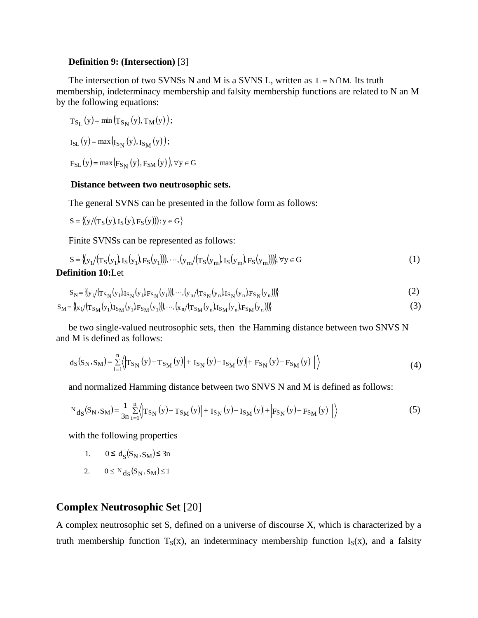#### **Definition 9: (Intersection)** [3]

The intersection of two SVNSs N and M is a SVNS L, written as  $L = N \cap M$ . Its truth membership, indeterminacy membership and falsity membership functions are related to N an M by the following equations:

 $T_{S_L}(y) = \min (T_{S_N}(y), T_M(y));$  $I_{\rm SL}(y) = \max(I_{S_{N}}(y), I_{S_{M}}(y));$ 

 $F_{SL} (y) = max (F_{S_N} (y), F_{SM} (y)), \forall y \in G$ 

#### **Distance between two neutrosophic sets.**

The general SVNS can be presented in the follow form as follows:

 $S = \{(y/(T_S(y), I_S(y), F_S(y))): y \in G\}$ 

Finite SVNSs can be represented as follows:

$$
S = \{ (y_1 / (T_S(y_1), I_S(y_1), F_S(y_1))), \dots, (y_m / (T_S(y_m), I_S(y_m), F_S(y_m))) \} \forall y \in G
$$
\n**Definition 10:** Let

$$
S_N = \langle \langle y_1 / (T_{S_N}(y_1)I_{S_N}(y_1)F_{S_N}(y_1)) \rangle, \dots, \langle y_n / (T_{S_N}(y_n)I_{S_N}(y_n)F_{S_N}(y_n)) \rangle \rangle
$$
(2)

$$
S_M = \langle \langle x_1/(T_{S_M}(y_1)I_{S_M}(y_1)F_{S_M}(y_1)) \rangle, \dots, \langle x_n/(T_{S_M}(y_n)I_{S_M}(y_n)F_{S_M}(y_n)) \rangle \rangle
$$
(3)

be two single-valued neutrosophic sets, then the Hamming distance between two SNVS N and M is defined as follows:

$$
d_{S}(S_{N}, S_{M}) = \sum_{i=1}^{n} \langle T_{S_{N}}(y) - T_{S_{M}}(y) | + | I_{S_{N}}(y) - I_{S_{M}}(y) | + | F_{S_{N}}(y) - F_{S_{M}}(y) | \rangle \tag{4}
$$

and normalized Hamming distance between two SNVS N and M is defined as follows:

$$
N_{\rm dS}(S_{\rm N}, S_{\rm M}) = \frac{1}{3n} \sum_{i=1}^{n} \left\langle \left| T_{S_{\rm N}}(y) - T_{S_{\rm M}}(y) \right| + \left| I_{S_{\rm N}}(y) - I_{S_{\rm M}}(y) \right| + \left| F_{S_{\rm N}}(y) - F_{S_{\rm M}}(y) \right| \right\rangle \tag{5}
$$

with the following properties

- 1.  $0 \le d_S(S_N, S_M) \le 3n$
- 2.  $0 \le N_{d_S}(S_N, S_M) \le 1$

### **Complex Neutrosophic Set** [20]

A complex neutrosophic set S, defined on a universe of discourse X, which is characterized by a truth membership function  $T_S(x)$ , an indeterminacy membership function  $I_S(x)$ , and a falsity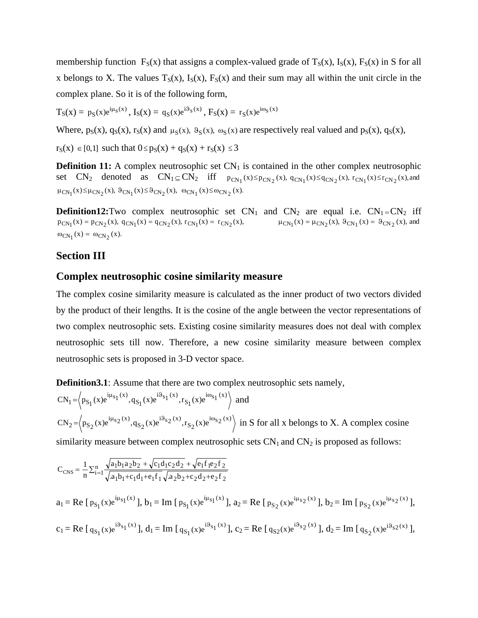membership function  $F_S(x)$  that assigns a complex-valued grade of  $T_S(x)$ ,  $I_S(x)$ ,  $F_S(x)$  in S for all x belongs to X. The values  $T_S(x)$ ,  $I_S(x)$ ,  $F_S(x)$  and their sum may all within the unit circle in the complex plane. So it is of the following form,

 $T_S(x) = p_S(x)e^{i\mu_S(x)}, I_S(x) = q_S(x)e^{i\vartheta_S(x)}, F_S(x) = r_S(x)e^{i\omega_S(x)}$ 

Where,  $p_S(x)$ ,  $q_S(x)$ ,  $r_S(x)$  and  $\mu_S(x)$ ,  $\vartheta_S(x)$ ,  $\vartheta_S(x)$  are respectively real valued and  $p_S(x)$ ,  $q_S(x)$ ,

 $r_S(x) \in [0,1]$  such that  $0 \le p_S(x) + q_S(x) + r_S(x) \le 3$ 

**Definition 11:** A complex neutrosophic set  $CN_1$  is contained in the other complex neutrosophic set  $CN_2$  denoted as  $CN_1 \subseteq CN_2$  iff  $p_{CN_1}(x) \leq p_{CN_2}(x)$ ,  $q_{CN_1}(x) \leq q_{CN_2}(x)$ ,  $r_{CN_1}(x) \leq r_{CN_2}(x)$ , and  $\mu_{CN_1}(x) \leq \mu_{CN_2}(x), \ \vartheta_{CN_1}(x) \leq \vartheta_{CN_2}(x), \ \omega_{CN_1}(x) \leq \omega_{CN_2}(x).$ 

**Definition12:**Two complex neutrosophic set  $CN_1$  and  $CN_2$  are equal i.e.  $CN_1=CN_2$  iff  $p_{CN_1}(x) = p_{CN_2}(x), q_{CN_1}(x) = q_{CN_2}(x), r_{CN_1}(x) = r_{CN_2}(x),$   $\mu_{CN_1}(x) = \mu_{CN_2}(x), \vartheta_{CN_1}(x) = \vartheta_{CN_2}(x),$  and  $\omega_{CN_1}(x) = \omega_{CN_2}(x)$ .

#### **Section III**

#### **Complex neutrosophic cosine similarity measure**

The complex cosine similarity measure is calculated as the inner product of two vectors divided by the product of their lengths. It is the cosine of the angle between the vector representations of two complex neutrosophic sets. Existing cosine similarity measures does not deal with complex neutrosophic sets till now. Therefore, a new cosine similarity measure between complex neutrosophic sets is proposed in 3-D vector space.

**Definition3.1**: Assume that there are two complex neutrosophic sets namely,

$$
CN_1 = \left\langle p_{S_1}(x)e^{i\mu_{S_1}(x)}, q_{S_1}(x)e^{i\vartheta_{S_1}(x)}, r_{S_1}(x)e^{i\omega_{S_1}(x)} \right\rangle
$$
 and  
\n
$$
CN_2 = \left\langle p_{S_2}(x)e^{i\mu_{S_2}(x)}, q_{S_2}(x)e^{i\vartheta_{S_2}(x)}, r_{S_2}(x)e^{i\omega_{S_2}(x)} \right\rangle
$$
 in S for all x belongs to X. A complex cosine  
\nsimilarity measure between complex neutrosophic sets  $CN_1$  and  $CN_2$  is proposed as follows:

$$
C_{CNS} = \frac{1}{n} \sum_{i=1}^{n} \frac{\sqrt{a_1 b_1 a_2 b_2} + \sqrt{c_1 d_1 c_2 d_2 + \sqrt{e_1 f_1 e_2 f_2}}}{\sqrt{a_1 b_1 + c_1 d_1 + e_1 f_1} \sqrt{a_2 b_2 + c_2 d_2 + e_2 f_2}}
$$
  
\n
$$
a_1 = \text{Re} \left[ p_{S_1}(x) e^{i\mu_{S_1}(x)} \right], b_1 = \text{Im} \left[ p_{S_1}(x) e^{i\mu_{S_1}(x)} \right], a_2 = \text{Re} \left[ p_{S_2}(x) e^{i\mu_{S_2}(x)} \right], b_2 = \text{Im} \left[ p_{S_2}(x) e^{i\mu_{S_2}(x)} \right],
$$
  
\n
$$
c_1 = \text{Re} \left[ q_{S_1}(x) e^{i\theta_{S_1}(x)} \right], d_1 = \text{Im} \left[ q_{S_1}(x) e^{i\theta_{S_1}(x)} \right], c_2 = \text{Re} \left[ q_{S_2}(x) e^{i\theta_{S_2}(x)} \right], d_2 = \text{Im} \left[ q_{S_2}(x) e^{i\theta_{S_2}(x)} \right],
$$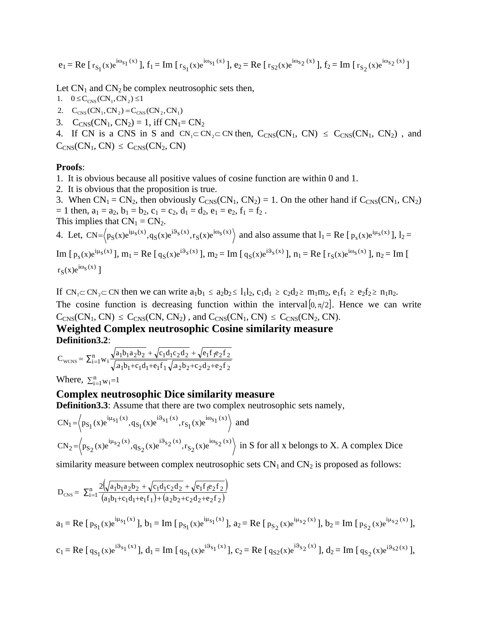$$
e_1 = Re [r_{S_1}(x)e^{i\omega_{S_1}(x)}], f_1 = Im [r_{S_1}(x)e^{i\omega_{S_1}(x)}], e_2 = Re [r_{S_2}(x)e^{i\omega_{S_2}(x)}], f_2 = Im [r_{S_2}(x)e^{i\omega_{S_2}(x)}]
$$

Let  $CN_1$  and  $CN_2$  be complex neutrosophic sets then,

- 1.  $0 \leq C_{CNS} (CN_1, CN_2) \leq 1$
- 2.  $C_{CNS} (CN_1, CN_2) = C_{CNS} (CN_2, CN_1)$
- 3.  $C_{CNS}(CN_1, CN_2) = 1$ , iff  $CN_1 = CN_2$

4. If CN is a CNS in S and  $CN_1 \subset CN_2 \subset CN$  then,  $C_{CNS}(CN_1, CN) \leq C_{CNS}(CN_1, CN_2)$ , and  $C<sub>CNS</sub>(CN<sub>1</sub>, CN) \leq C<sub>CNS</sub>(CN<sub>2</sub>, CN)$ 

#### **Proofs**:

- 1. It is obvious because all positive values of cosine function are within 0 and 1.
- 2. It is obvious that the proposition is true.

3. When  $CN_1 = CN_2$ , then obviously  $C_{CNS}(CN_1, CN_2) = 1$ . On the other hand if  $C_{CNS}(CN_1, CN_2)$  $= 1$  then,  $a_1 = a_2$ ,  $b_1 = b_2$ ,  $c_1 = c_2$ ,  $d_1 = d_2$ ,  $e_1 = e_2$ ,  $f_1 = f_2$ . This implies that  $CN_1 = CN_2$ .

4. Let, 
$$
CN = \left\langle p_S(x)e^{i\mu_S(x)}, q_S(x)e^{i\vartheta_S(x)}, r_S(x)e^{i\omega_S(x)} \right\rangle
$$
 and also assume that  $l_1 = Re \left[ p_s(x)e^{i\mu_S(x)} \right], l_2 =$ 

Im  $[p_s(x)e^{i\mu_s(x)}]$ ,  $m_1 = Re [q_s(x)e^{i\vartheta_s(x)}]$ ,  $m_2 = Im [q_s(x)e^{i\vartheta_s(x)}]$ ,  $n_1 = Re [r_s(x)e^{i\omega_s(x)}]$ ,  $n_2 = Im [q_s(x)e^{i\vartheta_s(x)}]$  $r_S(x)e^{i\omega_s(x)}$ ]

If  $CN_1 \subset CN_2 \subset CN$  then we can write  $a_1b_1 \le a_2b_2 \le 1_1b_2$ ,  $c_1d_1 \ge c_2d_2 \ge m_1m_2$ ,  $e_1f_1 \ge e_2f_2 \ge n_1n_2$ . The cosine function is decreasing function within the interval  $[0, \pi/2]$ . Hence we can write

 $C_{CNS}(CN_1, CN) \leq C_{CNS}(CN, CN_2)$ , and  $C_{CNS}(CN_1, CN) \leq C_{CNS}(CN_2, CN)$ .

**Weighted Complex neutrosophic Cosine similarity measure Definition3.2**:

$$
C_{\text{WCNS}} = \sum_{i=1}^{n} w_i \frac{\sqrt{a_1 b_1 a_2 b_2} + \sqrt{c_1 d_1 c_2 d_2} + \sqrt{e_1 f_1 e_2 f_2}}{\sqrt{a_1 b_1 + c_1 d_1 + e_1 f_1} \sqrt{a_2 b_2 + c_2 d_2 + e_2 f_2}}
$$

Where,  $\sum_{i=1}^{n} w_i = 1$ 

#### **Complex neutrosophic Dice similarity measure**

**Definition3.3**: Assume that there are two complex neutrosophic sets namely,

$$
CN_{1} = \left\langle p_{S_{1}}(x)e^{i\mu_{S_{1}}(x)}, q_{S_{1}}(x)e^{i\vartheta_{S_{1}}(x)}, r_{S_{1}}(x)e^{i\omega_{S_{1}}(x)} \right\rangle \text{ and}
$$
  
\n
$$
CN_{2} = \left\langle p_{S_{2}}(x)e^{i\mu_{S_{2}}(x)}, q_{S_{2}}(x)e^{i\vartheta_{S_{2}}(x)}, r_{S_{2}}(x)e^{i\omega_{S_{2}}(x)} \right\rangle \text{ in } S \text{ for all } x \text{ belongs to } X. \text{ A complex Dice}
$$

similarity measure between complex neutrosophic sets  $CN_1$  and  $CN_2$  is proposed as follows:

$$
D_{\text{CNS}} = \sum_{i=1}^{n} \frac{2 \left(\sqrt{a_1 b_1 a_2 b_2} + \sqrt{c_1 d_1 c_2 d_2} + \sqrt{e_1 f_1 e_2 f_2}\right)}{(a_1 b_1 + c_1 d_1 + e_1 f_1) + (a_2 b_2 + c_2 d_2 + e_2 f_2)}
$$
  
\n
$$
a_1 = \text{Re} \left[ p_{S_1}(x) e^{i\mu_{S_1}(x)} \right], b_1 = \text{Im} \left[ p_{S_1}(x) e^{i\mu_{S_1}(x)} \right], a_2 = \text{Re} \left[ p_{S_2}(x) e^{i\mu_{S_2}(x)} \right], b_2 = \text{Im} \left[ p_{S_2}(x) e^{i\mu_{S_2}(x)} \right]
$$

$$
c_1=Re\;[\;q_{S_1}(x)e^{i\vartheta_{S_1}(x)}\;],\;d_1=Im\;[\;q_{S_1}(x)e^{i\vartheta_{S_1}(x)}\;],\;c_2=Re\;[\;q_{S2}(x)e^{i\vartheta_{S_2}(x)}\;],\;d_2=Im\;[\;q_{S_2}(x)e^{i\vartheta_{S_2}(x)}\;],
$$

 $p_{S_2}(x)e^{i\mu_{S_2}(x)}$ ],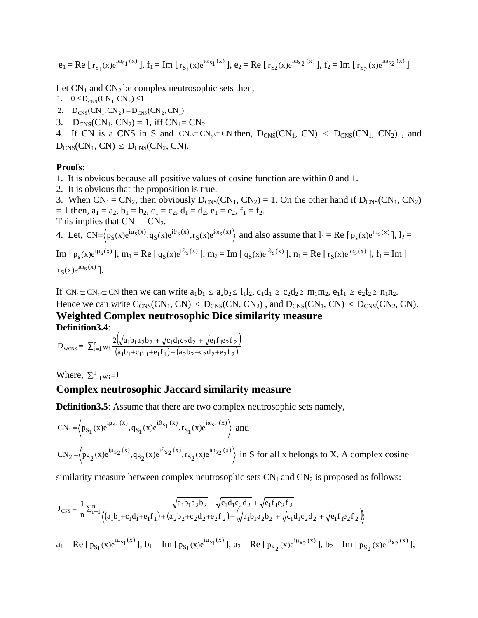$$
e_1 = Re [r_{S_1}(x)e^{i\omega_{S_1}(x)}], f_1 = Im [r_{S_1}(x)e^{i\omega_{S_1}(x)}], e_2 = Re [r_{S_2}(x)e^{i\omega_{S_2}(x)}], f_2 = Im [r_{S_2}(x)e^{i\omega_{S_2}(x)}]
$$

Let  $CN_1$  and  $CN_2$  be complex neutrosophic sets then,

- 1.  $0 \le D_{CNS} (CN_1, CN_2) \le 1$
- 2.  $D_{CNS} (CN_1, CN_2) = D_{CNS} (CN_2, CN_1)$
- 3.  $D_{CNS}(CN_1, CN_2) = 1$ , iff  $CN_1 = CN_2$

4. If CN is a CNS in S and  $CN_1 \subset CN_2 \subset CN$  then,  $D_{CNS}(CN_1, CN) \leq D_{CNS}(CN_1, CN_2)$ , and  $D_{CNS}(CN_1, CN) \leq D_{CNS}(CN_2, CN).$ 

#### **Proofs**:

- 1. It is obvious because all positive values of cosine function are within 0 and 1.
- 2. It is obvious that the proposition is true.

3. When  $CN_1 = CN_2$ , then obviously  $D_{CNS}(CN_1, CN_2) = 1$ . On the other hand if  $D_{CNS}(CN_1, CN_2)$  $= 1$  then,  $a_1 = a_2$ ,  $b_1 = b_2$ ,  $c_1 = c_2$ ,  $d_1 = d_2$ ,  $e_1 = e_2$ ,  $f_1 = f_2$ . This implies that  $CN_1 = CN_2$ .

4. Let,  $CN = \langle p_S(x)e^{i\mu_S(x)}, q_S(x)e^{i\vartheta_S(x)}, r_S(x)e^{i\vartheta_S(x)} \rangle$  and also assume that  $l_1 = Re [p_S(x)e^{i\mu_S(x)}], l_2 =$ 

Im  $[p_s(x)e^{i\mu_s(x)}]$ ,  $m_1 = \text{Re} [q_s(x)e^{i\vartheta_s(x)}]$ ,  $m_2 = \text{Im} [q_s(x)e^{i\vartheta_s(x)}]$ ,  $n_1 = \text{Re} [r_s(x)e^{i\omega_s(x)}]$ ,  $f_1 = \text{Im} [q_s(x)e^{i\vartheta_s(x)}]$  $r_S(x)e^{i\omega_s(x)}$ ].

If  $CN_1 \subset CN_2 \subset CN$  then we can write  $a_1b_1 \le a_2b_2 \le 1_1b_2$ ,  $c_1d_1 \ge c_2d_2 \ge m_1m_2$ ,  $e_1f_1 \ge e_2f_2 \ge n_1n_2$ . Hence we can write  $C_{CNS}(CN_1, CN) \le D_{CNS}(CN, CN_2)$ , and  $D_{CNS}(CN_1, CN) \le D_{CNS}(CN_2, CN)$ . **Weighted Complex neutrosophic Dice similarity measure Definition3.4**:

$$
D_{\text{WCNS}} = \sum_{i=1}^{n} w_i \frac{2(\sqrt{a_1b_1a_2b_2} + \sqrt{c_1d_1c_2d_2} + \sqrt{e_1f_1e_2f_2})}{(a_1b_1 + c_1d_1 + e_1f_1) + (a_2b_2 + c_2d_2 + e_2f_2)}
$$

Where,  $\sum_{i=1}^{n} w_i = 1$ 

### **Complex neutrosophic Jaccard similarity measure**

**Definition3.5**: Assume that there are two complex neutrosophic sets namely,

$$
CN_1 = \left\langle p_{S_1}(x)e^{i\mu_{S_1}(x)}, q_{S_1}(x)e^{i\vartheta_{S_1}(x)}, r_{S_1}(x)e^{i\omega_{S_1}(x)} \right\rangle \text{ and}
$$
  
\n
$$
CN_2 = \left\langle p_{S_2}(x)e^{i\mu_{S_2}(x)}, q_{S_2}(x)e^{i\vartheta_{S_2}(x)}, r_{S_2}(x)e^{i\omega_{S_2}(x)} \right\rangle \text{ in } S \text{ for all } x \text{ belongs to } X. \text{ A complex cosine}
$$

similarity measure between complex neutrosophic sets  $CN_1$  and  $CN_2$  is proposed as follows:

$$
J_{\text{CNS}} = \frac{1}{n} \sum_{i=1}^{n} \frac{\sqrt{a_1 b_1 a_2 b_2} + \sqrt{c_1 d_1 c_2 d_2} + \sqrt{e_1 f_1 e_2 f_2}}{\left\langle (a_1 b_1 + c_1 d_1 + e_1 f_1) + (a_2 b_2 + c_2 d_2 + e_2 f_2) - (\sqrt{a_1 b_1 a_2 b_2} + \sqrt{c_1 d_1 c_2 d_2} + \sqrt{e_1 f_1 e_2 f_2}) \right\rangle}
$$

 $a_1 = \text{Re} [\, p_{S_1}(x) e^{i\mu_{S_1}(x)}]$  $p_{S_1}(x)e^{i\mu_{S_1}(x)}$ ],  $b_1 = Im [p_{S_1}(x)e^{i\mu_{S_1}(x)}]$  $p_{S_1}(x)e^{i\mu_{S_1}(x)}$ ],  $a_2 = \text{Re} [p_{S_2}(x)e^{i\mu_{S_2}(x)}]$  $p_{S_2}(x)e^{i\mu_{S_2}(x)}$ ],  $b_2 = Im [p_{S_2}(x)e^{i\mu_{S_2}(x)}]$  $p_{S_2}(x)e^{i\mu_{S_2}(x)}$ ],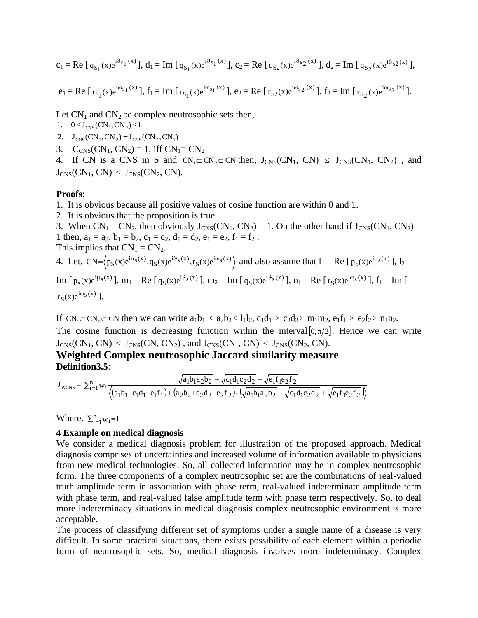$$
c_1=Re\;[\;q_{S_1}(x)e^{i\vartheta_{S_1}(x)}\;],\;d_1=Im\;[\;q_{S_1}(x)e^{i\vartheta_{S_1}(x)}\;],\;c_2=Re\;[\;q_{S_2}(x)e^{i\vartheta_{S_2}(x)}\;],\;d_2=Im\;[\;q_{S_2}(x)e^{i\vartheta_{S_2}(x)}\;],
$$

$$
e_1=Re\;[\;r_{S_1}(x)e^{i\omega_{S_1}(x)}\;],\;f_1=Im\;[\;r_{S_1}(x)e^{i\omega_{S_1}(x)}\;],\;e_2=Re\;[\;r_{S_2}(x)e^{i\omega_{S_2}(x)}\;],\;f_2=Im\;[\;r_{S_2}(x)e^{i\omega_{S_2}(x)}\;].
$$

Let  $CN_1$  and  $CN_2$  be complex neutrosophic sets then,

- 1.  $0 \le J_{CNS} (CN_1, CN_2) \le 1$
- 2.  $J_{CNS}(CN_1, CN_2) = J_{CNS}(CN_2, CN_1)$
- 3.  $C_{CNS}(CN_1, CN_2) = 1$ , iff  $CN_1 = CN_2$

4. If CN is a CNS in S and  $CN_1 \subset CN_2 \subset CN$  then,  $J_{CNS}(CN_1, CN) \le J_{CNS}(CN_1, CN_2)$ , and  $J_{CNS}(CN_1, CN) \le J_{CNS}(CN_2, CN).$ 

#### **Proofs**:

1. It is obvious because all positive values of cosine function are within 0 and 1.

2. It is obvious that the proposition is true.

3. When  $CN_1 = CN_2$ , then obviously  $J_{CNS}(CN_1, CN_2) = 1$ . On the other hand if  $J_{CNS}(CN_1, CN_2) =$ 1 then,  $a_1 = a_2$ ,  $b_1 = b_2$ ,  $c_1 = c_2$ ,  $d_1 = d_2$ ,  $e_1 = e_2$ ,  $f_1 = f_2$ . This implies that  $CN_1 = CN_2$ .

4. Let,  $CN = \langle p_S(x)e^{i\mu_S(x)}, q_S(x)e^{i\vartheta_S(x)}, r_S(x)e^{i\vartheta_S(x)} \rangle$  and also assume that  $l_1 = Re [p_S(x)e^{i\mu_S(x)}], l_2 =$ 

Im  $[p_s(x)e^{i\mu_s(x)}]$ ,  $m_1 = \text{Re} [q_s(x)e^{i\vartheta_s(x)}]$ ,  $m_2 = \text{Im} [q_s(x)e^{i\vartheta_s(x)}]$ ,  $n_1 = \text{Re} [r_s(x)e^{i\omega_s(x)}]$ ,  $f_1 = \text{Im} [q_s(x)e^{i\vartheta_s(x)}]$  $r_S(x)e^{i\omega_s(x)}$ ].

If  $CN_1 \subset CN_2 \subset CN$  then we can write  $a_1b_1 \le a_2b_2 \le l_1l_2$ ,  $c_1d_1 \ge c_2d_2 \ge m_1m_2$ ,  $e_1f_1 \ge e_2f_2 \ge n_1n_2$ . The cosine function is decreasing function within the interval  $[0, \pi/2]$ . Hence we can write  $J_{CNS}(CN_1, CN) \le J_{CNS}(CN, CN_2)$ , and  $J_{CNS}(CN_1, CN) \le J_{CNS}(CN_2, CN)$ .

**Weighted Complex neutrosophic Jaccard similarity measure Definition3.5**:

$$
J_{\text{WCNS}} = \sum_{i=1}^{n} w_i \frac{\sqrt{a_1 b_1 a_2 b_2} + \sqrt{c_1 d_1 c_2 d_2} + \sqrt{e_1 f_1 e_2 f_2}}{\left\langle (a_1 b_1 + c_1 d_1 + e_1 f_1) + (a_2 b_2 + c_2 d_2 + e_2 f_2) - (\sqrt{a_1 b_1 a_2 b_2} + \sqrt{c_1 d_1 c_2 d_2} + \sqrt{e_1 f_1 e_2 f_2}) \right\rangle}
$$

Where,  $\sum_{i=1}^{n} w_i = 1$ 

#### **4 Example on medical diagnosis**

We consider a medical diagnosis problem for illustration of the proposed approach. Medical diagnosis comprises of uncertainties and increased volume of information available to physicians from new medical technologies. So, all collected information may be in complex neutrosophic form. The three components of a complex neutrosophic set are the combinations of real-valued truth amplitude term in association with phase term, real-valued indeterminate amplitude term with phase term, and real-valued false amplitude term with phase term respectively. So, to deal more indeterminacy situations in medical diagnosis complex neutrosophic environment is more acceptable.

The process of classifying different set of symptoms under a single name of a disease is very difficult. In some practical situations, there exists possibility of each element within a periodic form of neutrosophic sets. So, medical diagnosis involves more indeterminacy. Complex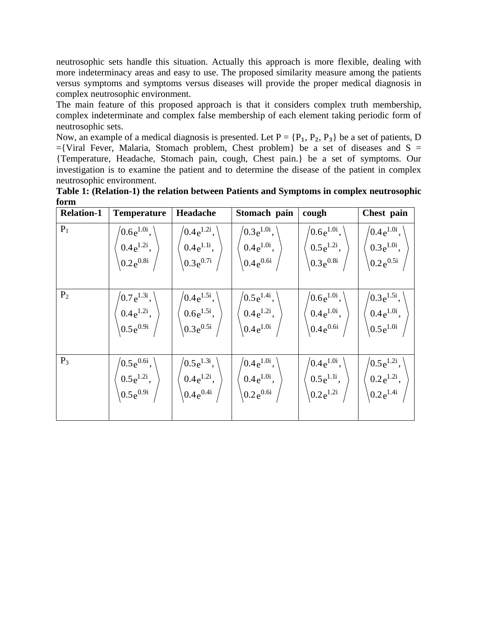neutrosophic sets handle this situation. Actually this approach is more flexible, dealing with more indeterminacy areas and easy to use. The proposed similarity measure among the patients versus symptoms and symptoms versus diseases will provide the proper medical diagnosis in complex neutrosophic environment.

The main feature of this proposed approach is that it considers complex truth membership, complex indeterminate and complex false membership of each element taking periodic form of neutrosophic sets.

Now, an example of a medical diagnosis is presented. Let  $P = \{P_1, P_2, P_3\}$  be a set of patients, D  $=\{Viral \; Fever, Malaria, Stomach problem, Chest problem\}$  be a set of diseases and S = {Temperature, Headache, Stomach pain, cough, Chest pain.} be a set of symptoms. Our investigation is to examine the patient and to determine the disease of the patient in complex neutrosophic environment.

**Table 1: (Relation-1) the relation between Patients and Symptoms in complex neutrosophic form**

| <b>Relation-1</b> | <b>Temperature</b>                                                                                                                                                                                                                     | Headache                                                       | Stomach pain                                                     | cough                                                                                                                                             | Chest pain                                                                                                             |
|-------------------|----------------------------------------------------------------------------------------------------------------------------------------------------------------------------------------------------------------------------------------|----------------------------------------------------------------|------------------------------------------------------------------|---------------------------------------------------------------------------------------------------------------------------------------------------|------------------------------------------------------------------------------------------------------------------------|
| $P_1$             | $(0.6e^{1.0i}, )$<br>$\begin{array}{c} 0.4\mathrm{e}^{1.2\mathrm{i}},\ \left\langle 0.2\mathrm{e}^{0.8\mathrm{i}} \right\rangle \end{array}$                                                                                           | $/0.4e^{1.2i}$ ,<br>$0.4e^{1.1i}$ ,<br>$0.3e^{0.7i}$           | $/0.3e^{1.0i}$ , $^{\prime}$<br>$0.4e^{1.0i}$ ,<br>$0.4e^{0.6i}$ | $/0.6e^{1.0i}$ ,<br>$0.5e^{1.2i}$ ,<br>$0.3e^{0.8i}$                                                                                              | $/0.4 e^{1.0i}$ ,<br>$\Big( 0.3e^{1.0i},$<br>$\setminus 0.2 e^{0.5i}$                                                  |
| P <sub>2</sub>    | $\begin{array}{c} \left. \left/ 0.7\, {\rm e}^{1.3{\rm i}} \right., \ \left. 0.4\, {\rm e}^{1.2{\rm i}} \right., \ \left. \left. \right. 0.5\, {\rm e}^{0.9{\rm i}} \left. \right/ \ \end{array} \right.$                              | $/0.4e^{1.5i}$ , $\langle$<br>$0.6e^{1.5i}$ ,<br>$0.3e^{0.5i}$ | $/0.5e^{1.4i}$ ,<br>$0.4 e^{1.2i},$<br>$0.4 e^{1.0i}$            | $/0.6e^{1.0i}$ ,<br>$\begin{pmatrix} 0.4 e^{1.0i}, \\ 0.4 e^{0.6i} \end{pmatrix}$                                                                 | $/0.3e^{1.5i}$ ,<br>$\begin{cases} 0.4\,\mathrm{e}^{1.0\mathrm{i}}\,,\ 0.5\,\mathrm{e}^{1.0\mathrm{i}}\,. \end{cases}$ |
| $P_3$             | $\begin{array}{c} \left. \left \langle 0.5\, {\rm e}^{0.6{\rm i}} \right. , \right. \ \left. 0.5\, {\rm e}^{1.2{\rm i}} \right. , \ \left. \left \langle 0.5\, {\rm e}^{0.9{\rm i}} \right. \right. \left. \left. \right. \end{array}$ | $(0.5e^{1.3i},$<br>$0.4e^{1.2i}$ ,<br>$0.4e^{0.4i}$            | $/0.4 e^{1.0i}$ ,<br>$0.4 e^{1.0i}$ ,<br>$0.2e^{0.6i}$           | $\begin{pmatrix} 0.4\,\mathrm{e}^{1.0\mathrm{i}}\,,\ 0.5\,\mathrm{e}^{1.1\mathrm{i}}\,,\ 0.2\,\mathrm{e}^{1.2\mathrm{i}}\,\,\,\,\, \end{pmatrix}$ | $\begin{pmatrix} 0.5 e^{1.2i}, \ 0.2 e^{1.2i}, \ 0.2 e^{1.4i} \end{pmatrix}$                                           |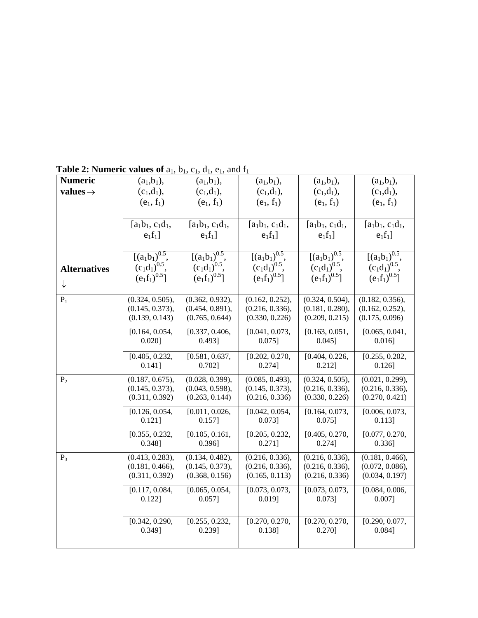| <b>Numeric</b>       | $(a_1, b_1),$                                                | $(a_1,b_1),$                            | $(a_1, b_1),$                                                | $(a_1, b_1),$                                                                                                                | $(a_1, b_1),$               |
|----------------------|--------------------------------------------------------------|-----------------------------------------|--------------------------------------------------------------|------------------------------------------------------------------------------------------------------------------------------|-----------------------------|
| values $\rightarrow$ | $(c_1,d_1),$                                                 | $(c_1,d_1),$                            | $(c_1,d_1),$                                                 | $(c_1,d_1),$                                                                                                                 | $(c_1,d_1),$                |
|                      | $(e_1, f_1)$                                                 | $(e_1, f_1)$                            | $(e_1, f_1)$                                                 | $(e_1, f_1)$                                                                                                                 | $(e_1, f_1)$                |
|                      |                                                              |                                         |                                                              |                                                                                                                              |                             |
|                      | $[a_1b_1, c_1d_1,$                                           | $[a_1b_1, c_1d_1,$                      | $[a_1b_1, c_1d_1,$                                           | $[a_1b_1, c_1d_1,$                                                                                                           | $[a_1b_1, c_1d_1,$          |
|                      |                                                              |                                         |                                                              |                                                                                                                              |                             |
|                      | $e_1f_1$                                                     | $e_1f_1$                                | $e_1f_1$                                                     | $e_1f_1$ ]                                                                                                                   | $e_1f_1$                    |
|                      |                                                              |                                         |                                                              |                                                                                                                              |                             |
|                      | $[(a_1b_1)^{0.5},$<br>$(c_1d_1)^{0.5},$<br>$(e_1f_1)^{0.5}]$ | $[(a_1b_1)^{0.5},$<br>$(c_1d_1)^{0.5},$ | $[(a_1b_1)^{0.5},$<br>$(c_1d_1)^{0.5},$<br>$(e_1f_1)^{0.5}]$ | $[(a_1b_1)^{0.5},$<br>(c <sub>1</sub> d <sub>1</sub> ) <sup>0.5</sup> ,<br>(e <sub>1</sub> f <sub>1</sub> ) <sup>0.5</sup> ] | $[(a_1b_1)^{0.5}]$          |
| <b>Alternatives</b>  |                                                              |                                         |                                                              |                                                                                                                              | $(c_1d_1)^{0.5}$ ,          |
| $\downarrow$         |                                                              | $(e_1f_1)^{0.5}$                        |                                                              |                                                                                                                              | $(e_1f_1)^{0.5}$            |
|                      |                                                              |                                         |                                                              |                                                                                                                              |                             |
| $P_1$                | (0.324, 0.505),                                              | (0.362, 0.932),                         | (0.162, 0.252),                                              | (0.324, 0.504),                                                                                                              | (0.182, 0.356),             |
|                      | (0.145, 0.373),                                              | (0.454, 0.891),                         | (0.216, 0.336),                                              | (0.181, 0.280),                                                                                                              | (0.162, 0.252),             |
|                      | (0.139, 0.143)                                               | (0.765, 0.644)                          | (0.330, 0.226)                                               | (0.209, 0.215)                                                                                                               | (0.175, 0.096)              |
|                      | [0.164, 0.054,                                               | [0.337, 0.406,                          | [0.041, 0.073,                                               | [0.163, 0.051,                                                                                                               | [0.065, 0.041,              |
|                      | $0.020$ ]                                                    | 0.493]                                  | $0.075$ ]                                                    | $0.045$ ]                                                                                                                    | $0.016$ ]                   |
|                      |                                                              |                                         |                                                              |                                                                                                                              |                             |
|                      | [0.405, 0.232,<br>0.141]                                     | [0.581, 0.637,<br>$0.702$ ]             | [0.202, 0.270,<br>0.274]                                     | [0.404, 0.226,<br>$0.212$ ]                                                                                                  | [0.255, 0.202,<br>$0.126$ ] |
|                      |                                                              |                                         |                                                              |                                                                                                                              |                             |
| P <sub>2</sub>       | (0.187, 0.675),                                              | (0.028, 0.399),                         | (0.085, 0.493),                                              | (0.324, 0.505),                                                                                                              | (0.021, 0.299),             |
|                      | (0.145, 0.373),                                              | (0.043, 0.598),                         | (0.145, 0.373),                                              | (0.216, 0.336),                                                                                                              | (0.216, 0.336),             |
|                      | (0.311, 0.392)                                               | (0.263, 0.144)                          | (0.216, 0.336)                                               | (0.330, 0.226)                                                                                                               | (0.270, 0.421)              |
|                      | [0.126, 0.054,                                               | [0.011, 0.026,                          | [0.042, 0.054,                                               | [0.164, 0.073,                                                                                                               | [0.006, 0.073,              |
|                      | 0.121]                                                       | 0.157]                                  | 0.073]                                                       | $0.075$ ]                                                                                                                    | $0.113$ ]                   |
|                      | [0.355, 0.232,                                               | [0.105, 0.161,                          | [0.205, 0.232,                                               | [0.405, 0.270,                                                                                                               | [0.077, 0.270,              |
|                      | 0.348]                                                       | $0.396$ ]                               | $0.271$ ]                                                    | 0.274]                                                                                                                       | $0.336$ ]                   |
| $P_3$                | (0.413, 0.283),                                              | (0.134, 0.482),                         | (0.216, 0.336),                                              | (0.216, 0.336),                                                                                                              | (0.181, 0.466),             |
|                      | (0.181, 0.466),                                              | (0.145, 0.373),                         | (0.216, 0.336),                                              | (0.216, 0.336),                                                                                                              | (0.072, 0.086),             |
|                      | (0.311, 0.392)                                               | (0.368, 0.156)                          | (0.165, 0.113)                                               | (0.216, 0.336)                                                                                                               | (0.034, 0.197)              |
|                      |                                                              |                                         |                                                              |                                                                                                                              |                             |
|                      | [0.117, 0.084,                                               | [0.065, 0.054,                          | [0.073, 0.073,                                               | [0.073, 0.073,                                                                                                               | [0.084, 0.006,              |
|                      | 0.122]                                                       | $0.057$ ]                               | $0.019$ ]                                                    | $0.073$ ]                                                                                                                    | $0.007$ ]                   |
|                      |                                                              |                                         |                                                              |                                                                                                                              |                             |
|                      | [0.342, 0.290,                                               | [0.255, 0.232,                          | [0.270, 0.270,                                               | [0.270, 0.270,                                                                                                               | [0.290, 0.077,              |
|                      | 0.349]                                                       | 0.239]                                  | $0.138$ ]                                                    | 0.270]                                                                                                                       | 0.084]                      |
|                      |                                                              |                                         |                                                              |                                                                                                                              |                             |

**Table 2: Numeric values of**  $a_1$ **,**  $b_1$ **,**  $c_1$ **,**  $d_1$ **,**  $e_1$ **, and**  $f_1$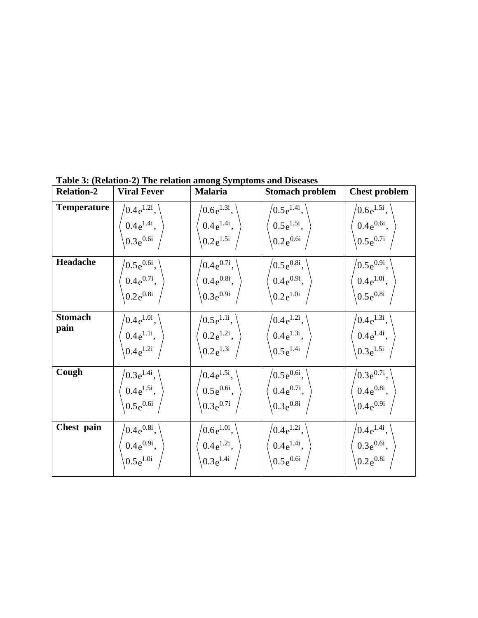| <b>Relation-2</b>      | <b>Viral Fever</b>                                  | <b>Malaria</b>                                             | <b>Stomach problem</b>                                 | <b>Chest problem</b>                                |
|------------------------|-----------------------------------------------------|------------------------------------------------------------|--------------------------------------------------------|-----------------------------------------------------|
| <b>Temperature</b>     | $(0.4e^{1.2i},$                                     | $\sqrt{0.6e^{1.3i}}$ ,                                     | $/0.5e^{1.4i}$ ,                                       | $\sqrt{0.6e^{1.5i}}$ ,                              |
|                        | $0.4e^{1.4i}$ ,                                     | $0.4e^{1.4i}$ ,                                            | $0.5e^{1.5i}$ ,                                        | $0.4e^{0.6i}$ ,                                     |
|                        | $0.3e^{0.6i}$                                       | $0.2e^{1.5i}$                                              | $0.2e^{0.6i}$                                          | $0.5e^{0.7i}$                                       |
| Headache               | $\sqrt{0.5e^{0.6i}}$ ,                              | $\sqrt{0.4e^{0.7i}}$ ,                                     | $/0.5e^{0.8i}$ ,                                       | $\sqrt{0.5e^{0.9i}},$                               |
|                        | $0.4e^{0.7i}$ ,                                     | $0.4e^{0.8i}$ ,                                            | $0.4e^{0.9i}$ ,                                        | $0.4e^{1.0i}$ ,                                     |
|                        | $0.2e^{0.8i}$                                       | $0.3e^{0.9i}$                                              | $0.2e^{1.0i}$                                          | $0.5e^{0.8i}$                                       |
| <b>Stomach</b><br>pain | $0.4e^{1.0i}$ ,<br>$0.4e^{1.1i}$ ,<br>$0.4e^{1.2i}$ | $\sqrt{0.5e^{1.1i}}$ ,<br>$0.2e^{1.2i}$ ,<br>$0.2e^{1.3i}$ | $/0.4e^{1.2i}$ ,<br>$0.4e^{1.3i}$ ,<br>$(0.5e^{1.4i})$ | $(0.4e^{1.3i},$<br>$0.4e^{1.4i}$ ,<br>$0.3e^{1.5i}$ |
| Cough                  | $\sqrt{0.3e^{1.4i}}$ ,                              | $\sqrt{0.4e^{1.5i}}$ ,                                     | $/0.5e^{0.6i}$ ,                                       | $\sqrt{0.3e^{0.7i}}$ ,                              |
|                        | $0.4e^{1.5i}$ ,                                     | $0.5e^{0.6i}$ ,                                            | $0.4e^{0.7i}$ ,                                        | $0.4e^{0.8i}$ ,                                     |
|                        | $0.5e^{0.6i}$                                       | $0.3e^{0.7i}$                                              | $0.3e^{0.8i}$                                          | $0.4e^{0.9i}$                                       |
| Chest pain             | $0.4e^{0.8i}$ ,                                     | $10.6e^{1.0i}$ ,                                           | $/0.4e^{1.2i}$ ,                                       | $\sqrt{0.4e^{1.4i}}$ ,                              |
|                        | $0.4e^{0.9i}$ ,                                     | $0.4e^{1.2i}$ ,                                            | $0.4e^{1.4i}$ ,                                        | $0.3e^{0.6i}$ ,                                     |
|                        | $0.5e^{1.0i}$                                       | $0.3e^{1.4i}$                                              | $0.5e^{0.6i}$                                          | $(0.2e^{0.8i})$                                     |

**Table 3: (Relation-2) The relation among Symptoms and Diseases**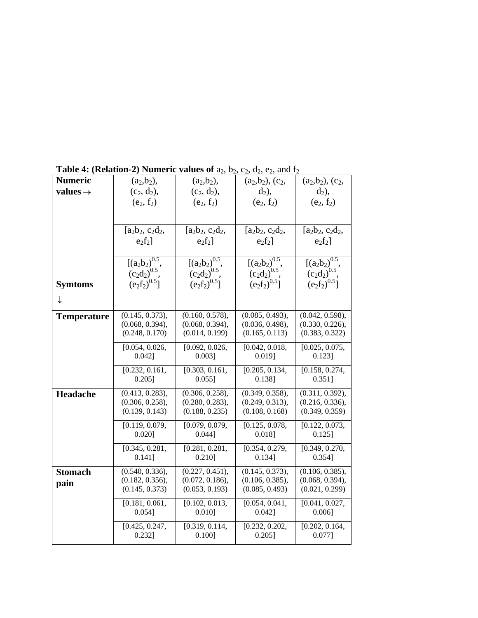|                      | rabic $\pi$ , (relation 2) indirective values of $\alpha_2, \sigma_2$ , |                                        | $v_2$ , $u_2$ , $v_2$ , and $v_2$                               |                                                                          |
|----------------------|-------------------------------------------------------------------------|----------------------------------------|-----------------------------------------------------------------|--------------------------------------------------------------------------|
| <b>Numeric</b>       | $(a_2, b_2),$                                                           | $(a_2, b_2),$                          | $(a_2,b_2), (c_2,$                                              | $(a_2,b_2), (c_2,$                                                       |
| values $\rightarrow$ | $(c_2, d_2),$                                                           | $(c_2, d_2),$                          | $d_2$ ),                                                        | $d_2$ ),                                                                 |
|                      | $(e_2, f_2)$                                                            | $(e_2, f_2)$                           | $(e_2, f_2)$                                                    | $(e_2, f_2)$                                                             |
|                      |                                                                         |                                        |                                                                 |                                                                          |
|                      | $[a_2b_2, c_2d_2,$                                                      | $[a_2b_2, c_2d_2,$                     | $[a_2b_2, c_2d_2,$                                              | $[a_2b_2, c_2d_2,$                                                       |
|                      | $e_2f_2$                                                                | $e_2f_2$                               | $e_2f_2$                                                        | $e_2f_2$                                                                 |
|                      |                                                                         |                                        |                                                                 |                                                                          |
|                      | $[(a_2b_2)^{0.5}, (c_2d_2)^{0.5}, (e_2f_2)^{0.5}]$                      | $[(a_2b_2)^{0.5}]$                     | $\frac{[(a_2b_2)^{0.5}]}{(c_2d_2)^{0.5}}$ ,<br>$(e_2f_2)^{0.5}$ | $\frac{\left[ (a_2b_2)^{0.5} , (c_2d_2)^{0.5} , (e_2f_2)^{0.5} \right]}$ |
|                      |                                                                         | $(c_2d_2)^{0.5}$ ,<br>$(c_2d_2)^{0.5}$ |                                                                 |                                                                          |
| <b>Symtoms</b>       |                                                                         |                                        |                                                                 |                                                                          |
|                      |                                                                         |                                        |                                                                 |                                                                          |
| ↓                    |                                                                         |                                        |                                                                 |                                                                          |
| <b>Temperature</b>   | (0.145, 0.373),                                                         | (0.160, 0.578),                        | (0.085, 0.493),                                                 | (0.042, 0.598),                                                          |
|                      | (0.068, 0.394),                                                         | (0.068, 0.394),                        | (0.036, 0.498),                                                 | (0.330, 0.226),                                                          |
|                      | (0.248, 0.170)                                                          | (0.014, 0.199)                         | (0.165, 0.113)                                                  | (0.383, 0.322)                                                           |
|                      | [0.054, 0.026,                                                          | [0.092, 0.026,                         | [0.042, 0.018,                                                  | [0.025, 0.075,                                                           |
|                      | 0.042]                                                                  | $0.003$ ]                              | $0.019$ ]                                                       | $0.123$ ]                                                                |
|                      | [0.232, 0.161,                                                          | [0.303, 0.161,                         | [0.205, 0.134,                                                  | [0.158, 0.274,                                                           |
|                      | $0.205$ ]                                                               | $0.055$ ]                              | 0.138]                                                          | 0.351]                                                                   |
| Headache             | (0.413, 0.283),                                                         | (0.306, 0.258),                        | (0.349, 0.358),                                                 | (0.311, 0.392),                                                          |
|                      | (0.306, 0.258),                                                         | (0.280, 0.283),                        | (0.249, 0.313),                                                 | (0.216, 0.336),                                                          |
|                      | (0.139, 0.143)                                                          | (0.188, 0.235)                         | (0.108, 0.168)                                                  | (0.349, 0.359)                                                           |
|                      | [0.119, 0.079,                                                          | [0.079, 0.079,                         | [0.125, 0.078,                                                  | [0.122, 0.073,                                                           |
|                      | 0.020]                                                                  | 0.044]                                 | $0.018$ ]                                                       | $0.125$ ]                                                                |
|                      | [0.345, 0.281,                                                          | [0.281, 0.281,                         | [0.354, 0.279,                                                  | $\overline{[0.349, 0.270]}$                                              |
|                      | 0.141]                                                                  | $0.210$ ]                              | 0.134]                                                          | 0.354]                                                                   |
| <b>Stomach</b>       | (0.540, 0.336),                                                         | (0.227, 0.451),                        | (0.145, 0.373),                                                 | (0.106, 0.385),                                                          |
| pain                 | (0.182, 0.356),                                                         | (0.072, 0.186),                        | (0.106, 0.385),                                                 | (0.068, 0.394),                                                          |
|                      | (0.145, 0.373)                                                          | (0.053, 0.193)                         | (0.085, 0.493)                                                  | (0.021, 0.299)                                                           |
|                      | [0.181, 0.061,                                                          | [0.102, 0.013,                         | [0.054, 0.041,                                                  | [0.041, 0.027,                                                           |
|                      | $0.054$ ]                                                               | $0.010$ ]                              | $0.042$ ]                                                       | $0.006$ ]                                                                |
|                      | [0.425, 0.247,                                                          | [0.319, 0.114,                         | [0.232, 0.202,                                                  | [0.202, 0.164,                                                           |
|                      | 0.232]                                                                  | 0.100]                                 | $0.205$ ]                                                       | $0.077$ ]                                                                |
|                      |                                                                         |                                        |                                                                 |                                                                          |

**Table 4: (Relation-2) Numeric values of**  $a_2$ ,  $b_2$ ,  $c_2$ ,  $d_2$ ,  $e_2$ , and  $f_2$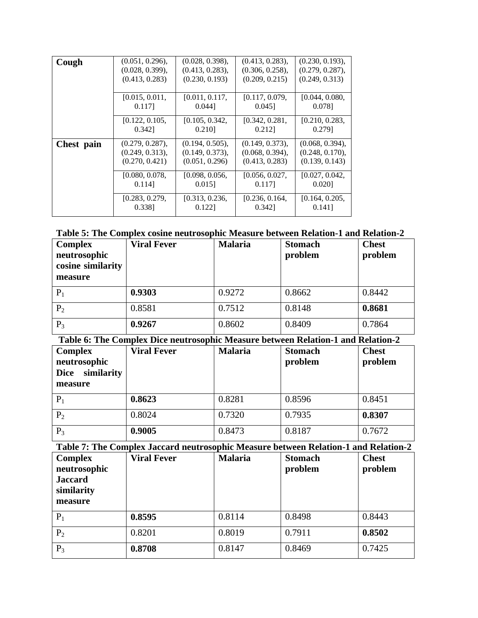| Cough      | $(0.051, 0.296)$ , | (0.028, 0.398),    | $(0.413, 0.283)$ , | $(0.230, 0.193)$ , |
|------------|--------------------|--------------------|--------------------|--------------------|
|            | (0.028, 0.399),    | (0.413, 0.283),    | $(0.306, 0.258)$ , | (0.279, 0.287),    |
|            | (0.413, 0.283)     | (0.230, 0.193)     | (0.209, 0.215)     | (0.249, 0.313)     |
|            |                    |                    |                    |                    |
|            | [0.015, 0.011,     | [0.011, 0.117,     | [0.117, 0.079,     | [0.044, 0.080,     |
|            | 0.117]             | $0.044$ ]          | $0.045$ ]          | 0.0781             |
|            | [0.122, 0.105,     | [0.105, 0.342,     | [0.342, 0.281,     | [0.210, 0.283,     |
|            | 0.3421             | 0.210              | 0.2121             | 0.2791             |
| Chest pain | $(0.279, 0.287)$ , | $(0.194, 0.505)$ , | $(0.149, 0.373)$ , | $(0.068, 0.394)$ , |
|            | (0.249, 0.313),    | (0.149, 0.373),    | $(0.068, 0.394)$ , | (0.248, 0.170),    |
|            | (0.270, 0.421)     | (0.051, 0.296)     | (0.413, 0.283)     | (0.139, 0.143)     |
|            | [0.080, 0.078]     | [0.098, 0.056]     | [0.056, 0.027,     | [0.027, 0.042,     |
|            | 0.1141             | 0.015              | 0.117              | 0.0201             |
|            | [0.283, 0.279,     | [0.313, 0.236,     | [0.236, 0.164,     | [0.164, 0.205,     |
|            | 0.338]             | 0.1221             | 0.342]             | 0.141]             |

| Table 5: The Complex cosine neutrosophic Measure between Relation-1 and Relation-2 |
|------------------------------------------------------------------------------------|
|------------------------------------------------------------------------------------|

| <b>Complex</b><br>neutrosophic<br>cosine similarity<br>measure | <b>Viral Fever</b> | <b>Malaria</b> | <b>Stomach</b><br>problem | <b>Chest</b><br>problem |
|----------------------------------------------------------------|--------------------|----------------|---------------------------|-------------------------|
| $P_1$                                                          | 0.9303             | 0.9272         | 0.8662                    | 0.8442                  |
| P <sub>2</sub>                                                 | 0.8581             | 0.7512         | 0.8148                    | 0.8681                  |
| $P_3$                                                          | 0.9267             | 0.8602         | 0.8409                    | 0.7864                  |

**Table 6: The Complex Dice neutrosophic Measure between Relation-1 and Relation-2**

| <b>Complex</b><br>neutrosophic<br>similarity<br><b>Dice</b><br>measure | <b>Viral Fever</b> | <b>Malaria</b> | <b>Stomach</b><br>problem | <b>Chest</b><br>problem |
|------------------------------------------------------------------------|--------------------|----------------|---------------------------|-------------------------|
| $P_1$                                                                  | 0.8623             | 0.8281         | 0.8596                    | 0.8451                  |
| P <sub>2</sub>                                                         | 0.8024             | 0.7320         | 0.7935                    | 0.8307                  |
| $P_3$                                                                  | 0.9005             | 0.8473         | 0.8187                    | 0.7672                  |

**Table 7: The Complex Jaccard neutrosophic Measure between Relation-1 and Relation-2**

| <b>Complex</b><br>neutrosophic<br><b>Jaccard</b><br>similarity<br>measure | <b>Viral Fever</b> | <b>Malaria</b> | <b>Stomach</b><br>problem | <b>Chest</b><br>problem |
|---------------------------------------------------------------------------|--------------------|----------------|---------------------------|-------------------------|
| $P_1$                                                                     | 0.8595             | 0.8114         | 0.8498                    | 0.8443                  |
| $P_2$                                                                     | 0.8201             | 0.8019         | 0.7911                    | 0.8502                  |
| $P_3$                                                                     | 0.8708             | 0.8147         | 0.8469                    | 0.7425                  |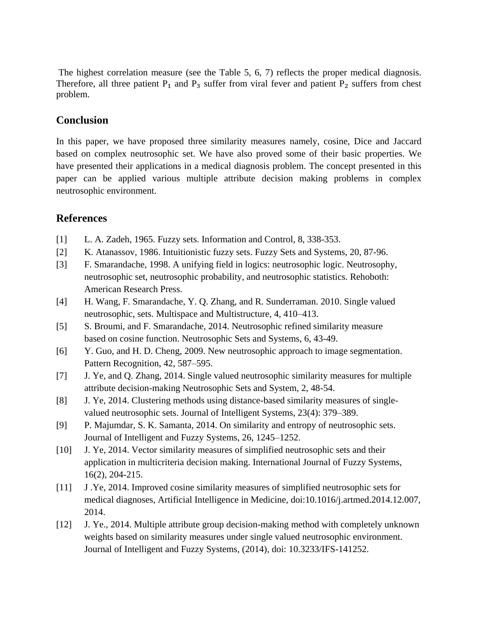The highest correlation measure (see the Table 5, 6, 7) reflects the proper medical diagnosis. Therefore, all three patient  $P_1$  and  $P_3$  suffer from viral fever and patient  $P_2$  suffers from chest problem.

### **Conclusion**

In this paper, we have proposed three similarity measures namely, cosine, Dice and Jaccard based on complex neutrosophic set. We have also proved some of their basic properties. We have presented their applications in a medical diagnosis problem. The concept presented in this paper can be applied various multiple attribute decision making problems in complex neutrosophic environment.

## **References**

- [1] L. A. Zadeh, 1965. Fuzzy sets. Information and Control, 8, 338-353.
- [2] K. Atanassov, 1986. Intuitionistic fuzzy sets. Fuzzy Sets and Systems, 20, 87-96.
- [3] F. Smarandache, 1998. A unifying field in logics: neutrosophic logic. Neutrosophy, neutrosophic set, neutrosophic probability, and neutrosophic statistics. Rehoboth: American Research Press.
- [4] H. Wang, F. Smarandache, Y. Q. Zhang, and R. Sunderraman. 2010. Single valued neutrosophic, sets. Multispace and Multistructure, 4, 410–413.
- [5] S. Broumi, and F. Smarandache, 2014. Neutrosophic refined similarity measure based on cosine function. Neutrosophic Sets and Systems, 6, 43-49.
- [6] Y. Guo, and H. D. Cheng, 2009. New neutrosophic approach to image segmentation. Pattern Recognition, 42, 587–595.
- [7] J. Ye, and Q. Zhang, 2014. Single valued neutrosophic similarity measures for multiple attribute decision-making Neutrosophic Sets and System, 2, 48-54.
- [8] J. Ye, 2014. Clustering methods using distance-based similarity measures of singlevalued neutrosophic sets. Journal of Intelligent Systems, 23(4): 379–389.
- [9] P. Majumdar, S. K. Samanta, 2014. On similarity and entropy of neutrosophic sets. Journal of Intelligent and Fuzzy Systems, 26, 1245–1252.
- [10] J. Ye, 2014. Vector similarity measures of simplified neutrosophic sets and their application in multicriteria decision making. International Journal of Fuzzy Systems, 16(2), 204-215.
- [11] J .Ye, 2014. Improved cosine similarity measures of simplified neutrosophic sets for medical diagnoses, Artificial Intelligence in Medicine, doi:10.1016/j.artmed.2014.12.007, 2014.
- [12] J. Ye., 2014. Multiple attribute group decision-making method with completely unknown weights based on similarity measures under single valued neutrosophic environment. Journal of Intelligent and Fuzzy Systems, (2014), doi: 10.3233/IFS-141252.